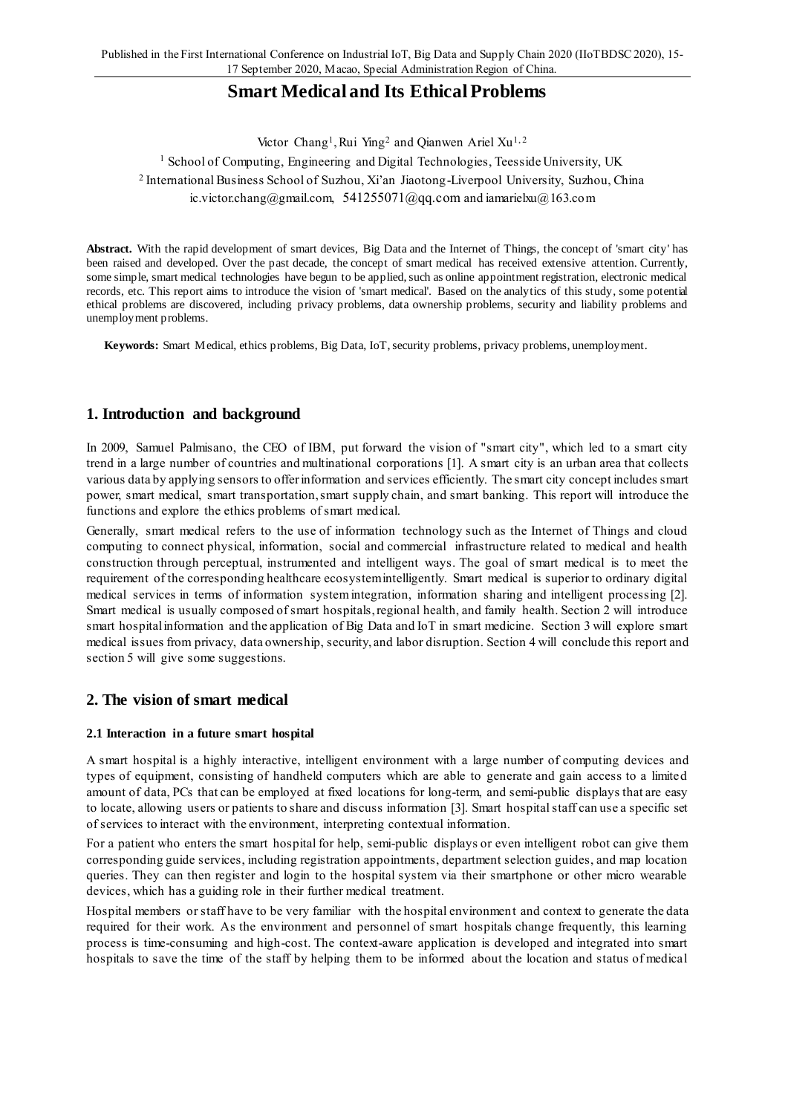# **Smart Medical and Its Ethical Problems**

Victor Chang<sup>1</sup>, Rui Ying<sup>2</sup> and Qianwen Ariel Xu<sup>1, 2</sup> <sup>1</sup> School of Computing, Engineering and Digital Technologies, Teesside University, UK <sup>2</sup>International Business School of Suzhou, Xi'an Jiaotong-Liverpool University, Suzhou, China ic.victor.chang@gmail.com, 541255071@qq.com and iamarielxu@163.com

**Abstract.** With the rapid development of smart devices, Big Data and the Internet of Things, the concept of 'smart city' has been raised and developed. Over the past decade, the concept of smart medical has received extensive attention. Currently, some simple, smart medical technologies have begun to be applied, such as online appointment registration, electronic medical records, etc. This report aims to introduce the vision of 'smart medical'. Based on the analytics of this study, some potential ethical problems are discovered, including privacy problems, data ownership problems, security and liability problems and unemployment problems.

**Keywords:** Smart Medical, ethics problems, Big Data, IoT,security problems, privacy problems, unemployment.

## **1. Introduction and background**

In 2009, Samuel Palmisano, the CEO of IBM, put forward the vision of "smart city", which led to a smart city trend in a large number of countries and multinational corporations [1]. A smart city is an urban area that collects various data by applying sensors to offer information and services efficiently. The smart city concept includes smart power, smart medical, smart transportation, smart supply chain, and smart banking. This report will introduce the functions and explore the ethics problems of smart medical.

Generally, smart medical refers to the use of information technology such as the Internet of Things and cloud computing to connect physical, information, social and commercial infrastructure related to medical and health construction through perceptual, instrumented and intelligent ways. The goal of smart medical is to meet the requirement of the corresponding healthcare ecosystem intelligently. Smart medical is superior to ordinary digital medical services in terms of information system integration, information sharing and intelligent processing [2]. Smart medical is usually composed of smart hospitals, regional health, and family health. Section 2 will introduce smart hospital information and the application of Big Data and IoT in smart medicine. Section 3 will explore smart medical issues from privacy, data ownership, security, and labor disruption. Section 4 will conclude this report and section 5 will give some suggestions.

### **2. The vision of smart medical**

### **2.1 Interaction in a future smart hospital**

A smart hospital is a highly interactive, intelligent environment with a large number of computing devices and types of equipment, consisting of handheld computers which are able to generate and gain access to a limited amount of data, PCs that can be employed at fixed locations for long-term, and semi-public displays that are easy to locate, allowing users or patients to share and discuss information [3]. Smart hospital staff can use a specific set of services to interact with the environment, interpreting contextual information.

For a patient who enters the smart hospital for help, semi-public displays or even intelligent robot can give them corresponding guide services, including registration appointments, department selection guides, and map location queries. They can then register and login to the hospital system via their smartphone or other micro wearable devices, which has a guiding role in their further medical treatment.

Hospital members or staff have to be very familiar with the hospital environment and context to generate the data required for their work. As the environment and personnel of smart hospitals change frequently, this learning process is time-consuming and high-cost. The context-aware application is developed and integrated into smart hospitals to save the time of the staff by helping them to be informed about the location and status of medical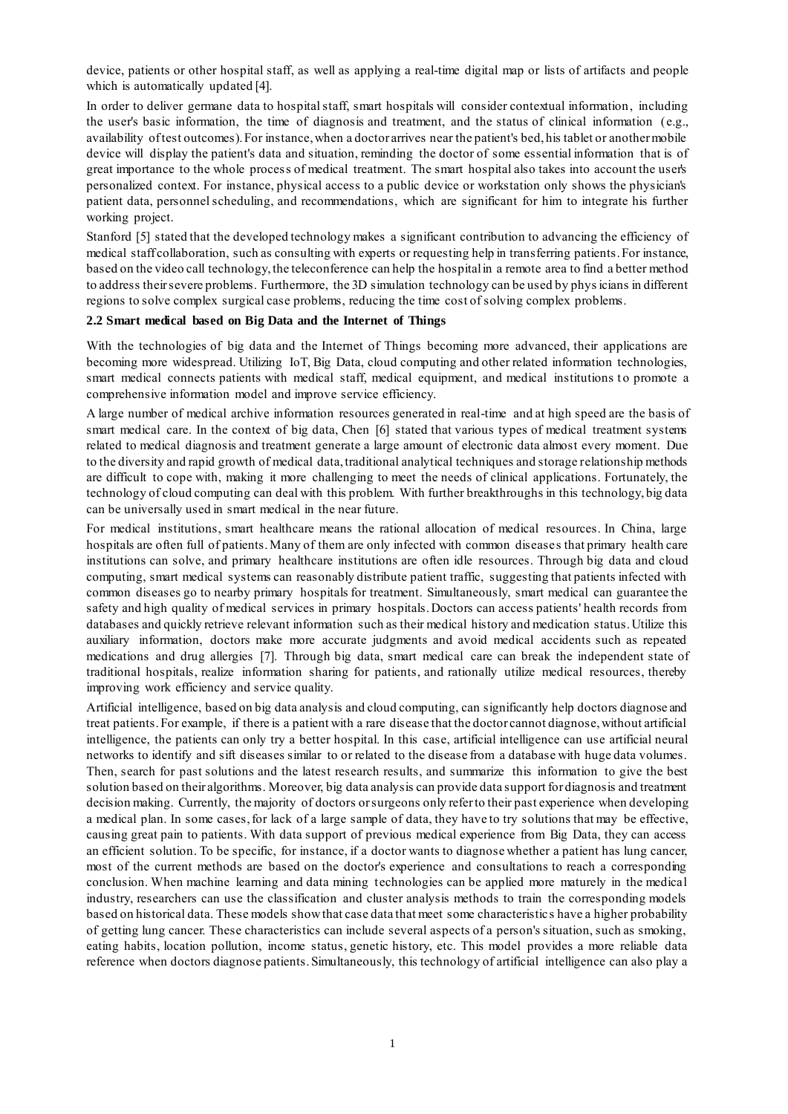device, patients or other hospital staff, as well as applying a real-time digital map or lists of artifacts and people which is automatically updated [4].

In order to deliver germane data to hospital staff, smart hospitals will consider contextual information, including the user's basic information, the time of diagnosis and treatment, and the status of clinical information (e.g., availability of test outcomes). For instance, when a doctor arrives near the patient's bed, his tablet or another mobile device will display the patient's data and situation, reminding the doctor of some essential information that is of great importance to the whole process of medical treatment. The smart hospital also takes into account the user's personalized context. For instance, physical access to a public device or workstation only shows the physician's patient data, personnel scheduling, and recommendations, which are significant for him to integrate his further working project.

Stanford [5] stated that the developed technology makes a significant contribution to advancing the efficiency of medical staff collaboration, such as consulting with experts or requesting help in transferring patients. For instance, based on the video call technology, the teleconference can help the hospital in a remote area to find a better method to address their severe problems. Furthermore, the 3D simulation technology can be used by physicians in different regions to solve complex surgical case problems, reducing the time cost of solving complex problems.

#### **2.2 Smart medical based on Big Data and the Internet of Things**

With the technologies of big data and the Internet of Things becoming more advanced, their applications are becoming more widespread. Utilizing IoT, Big Data, cloud computing and other related information technologies, smart medical connects patients with medical staff, medical equipment, and medical institutions to promote a comprehensive information model and improve service efficiency.

A large number of medical archive information resources generated in real-time and at high speed are the basis of smart medical care. In the context of big data, Chen [6] stated that various types of medical treatment systems related to medical diagnosis and treatment generate a large amount of electronic data almost every moment. Due to the diversity and rapid growth of medical data, traditional analytical techniques and storage relationship methods are difficult to cope with, making it more challenging to meet the needs of clinical applications. Fortunately, the technology of cloud computing can deal with this problem. With further breakthroughs in this technology, big data can be universally used in smart medical in the near future.

For medical institutions, smart healthcare means the rational allocation of medical resources. In China, large hospitals are often full of patients. Many of them are only infected with common disease s that primary health care institutions can solve, and primary healthcare institutions are often idle resources. Through big data and cloud computing, smart medical systems can reasonably distribute patient traffic, suggesting that patients infected with common diseases go to nearby primary hospitals for treatment. Simultaneously, smart medical can guarantee the safety and high quality of medical services in primary hospitals. Doctors can access patients' health records from databases and quickly retrieve relevant information such as their medical history and medication status. Utilize this auxiliary information, doctors make more accurate judgments and avoid medical accidents such as repeated medications and drug allergies [7]. Through big data, smart medical care can break the independent state of traditional hospitals, realize information sharing for patients, and rationally utilize medical resources, thereby improving work efficiency and service quality.

Artificial intelligence, based on big data analysis and cloud computing, can significantly help doctors diagnose and treat patients. For example, if there is a patient with a rare disease that the doctor cannot diagnose, without artificial intelligence, the patients can only try a better hospital. In this case, artificial intelligence can use artificial neural networks to identify and sift diseases similar to or related to the disease from a database with huge data volumes. Then, search for past solutions and the latest research results, and summarize this information to give the best solution based on their algorithms. Moreover, big data analysis can provide data support for diagnosis and treatment decision making. Currently, the majority of doctors or surgeons only refer to their past experience when developing a medical plan. In some cases, for lack of a large sample of data, they have to try solutions that may be effective, causing great pain to patients. With data support of previous medical experience from Big Data, they can access an efficient solution. To be specific, for instance, if a doctor wants to diagnose whether a patient has lung cancer, most of the current methods are based on the doctor's experience and consultations to reach a corresponding conclusion. When machine learning and data mining technologies can be applied more maturely in the medical industry, researchers can use the classification and cluster analysis methods to train the corresponding models based on historical data. These models show that case data that meet some characteristics have a higher probability of getting lung cancer. These characteristics can include several aspects of a person's situation, such as smoking, eating habits, location pollution, income status, genetic history, etc. This model provides a more reliable data reference when doctors diagnose patients. Simultaneously, this technology of artificial intelligence can also play a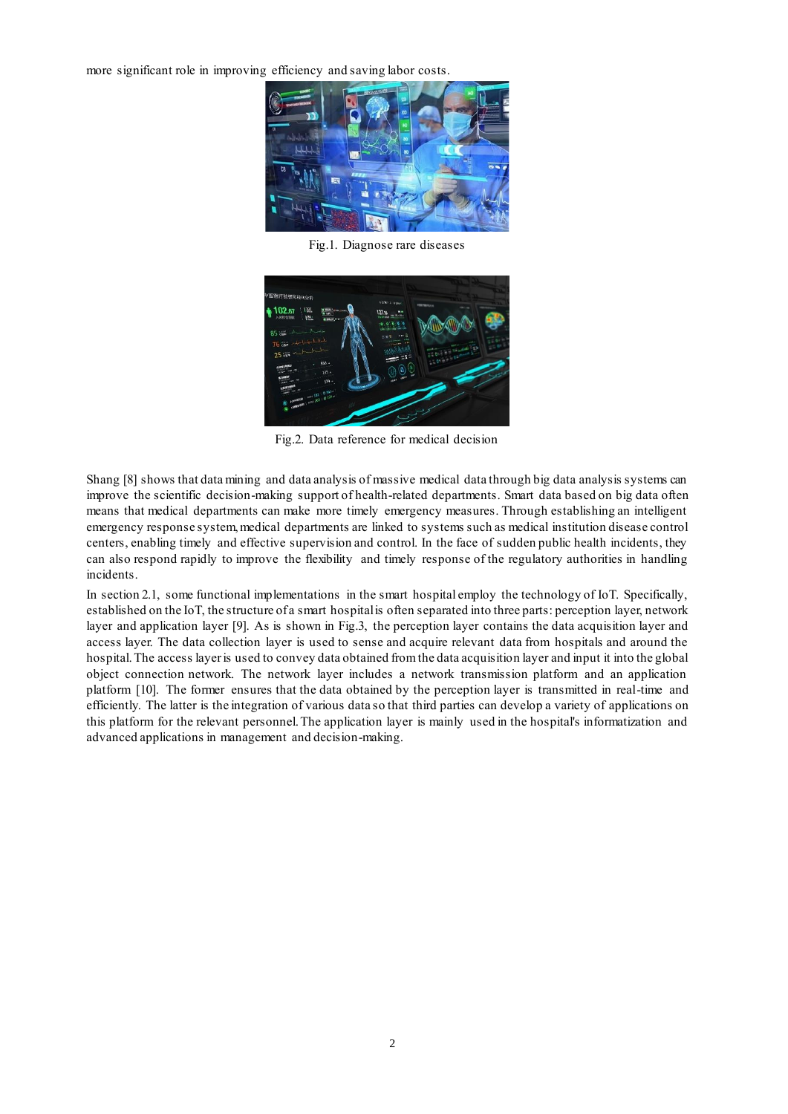more significant role in improving efficiency and saving labor costs.



Fig.1. Diagnose rare diseases



Fig.2. Data reference for medical decision

Shang [8] shows that data mining and data analysis of massive medical data through big data analysis systems can improve the scientific decision-making support of health-related departments. Smart data based on big data often means that medical departments can make more timely emergency measures. Through establishing an intelligent emergency response system, medical departments are linked to systems such as medical institution disease control centers, enabling timely and effective supervision and control. In the face of sudden public health incidents, they can also respond rapidly to improve the flexibility and timely response of the regulatory authorities in handling incidents.

In section 2.1, some functional implementations in the smart hospital employ the technology of IoT. Specifically, established on the IoT, the structure of a smart hospital is often separated into three parts: perception layer, network layer and application layer [9]. As is shown in Fig.3, the perception layer contains the data acquisition layer and access layer. The data collection layer is used to sense and acquire relevant data from hospitals and around the hospital. The access layer is used to convey data obtained from the data acquisition layer and input it into the global object connection network. The network layer includes a network transmission platform and an application platform [10]. The former ensures that the data obtained by the perception layer is transmitted in real-time and efficiently. The latter is the integration of various data so that third parties can develop a variety of applications on this platform for the relevant personnel. The application layer is mainly used in the hospital's informatization and advanced applications in management and decision-making.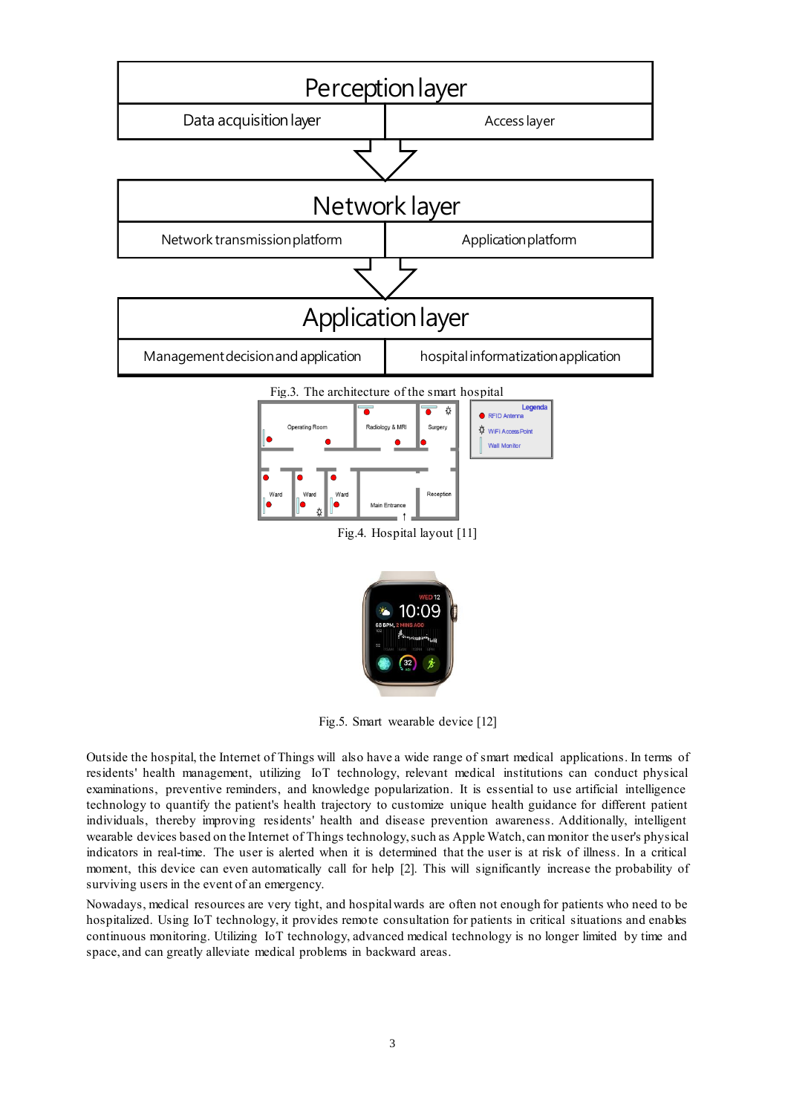

Fig.5. Smart wearable device [12]

Outside the hospital, the Internet of Things will also have a wide range of smart medical applications. In terms of residents' health management, utilizing IoT technology, relevant medical institutions can conduct physical examinations, preventive reminders, and knowledge popularization. It is essential to use artificial intelligence technology to quantify the patient's health trajectory to customize unique health guidance for different patient individuals, thereby improving residents' health and disease prevention awareness. Additionally, intelligent wearable devices based on the Internet of Things technology, such as Apple Watch, can monitor the user's physical indicators in real-time. The user is alerted when it is determined that the user is at risk of illness. In a critical moment, this device can even automatically call for help [2]. This will significantly increase the probability of surviving users in the event of an emergency.

Nowadays, medical resources are very tight, and hospital wards are often not enough for patients who need to be hospitalized. Using IoT technology, it provides remote consultation for patients in critical situations and enables continuous monitoring. Utilizing IoT technology, advanced medical technology is no longer limited by time and space, and can greatly alleviate medical problems in backward areas.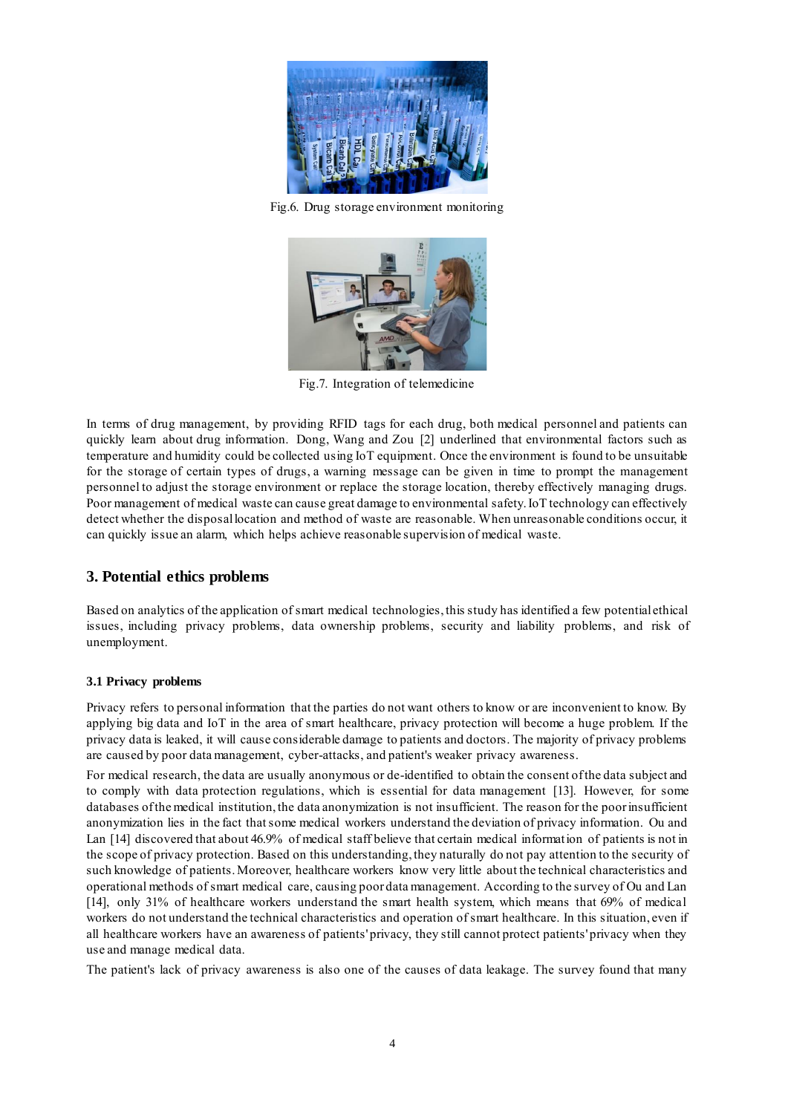

Fig.6. Drug storage environment monitoring



Fig.7. Integration of telemedicine

In terms of drug management, by providing RFID tags for each drug, both medical personnel and patients can quickly learn about drug information. Dong, Wang and Zou [2] underlined that environmental factors such as temperature and humidity could be collected using IoT equipment. Once the environment is found to be unsuitable for the storage of certain types of drugs, a warning message can be given in time to prompt the management personnel to adjust the storage environment or replace the storage location, thereby effectively managing drugs. Poor management of medical waste can cause great damage to environmental safety. IoT technology can effectively detect whether the disposal location and method of waste are reasonable. When unreasonable conditions occur, it can quickly issue an alarm, which helps achieve reasonable supervision of medical waste.

## **3. Potential ethics problems**

Based on analytics of the application of smart medical technologies, this study has identified a few potential ethical issues, including privacy problems, data ownership problems, security and liability problems, and risk of unemployment.

#### **3.1 Privacy problems**

Privacy refers to personal information that the parties do not want others to know or are inconvenient to know. By applying big data and IoT in the area of smart healthcare, privacy protection will become a huge problem. If the privacy data is leaked, it will cause considerable damage to patients and doctors. The majority of privacy problems are caused by poor data management, cyber-attacks, and patient's weaker privacy awareness.

For medical research, the data are usually anonymous or de-identified to obtain the consent of the data subject and to comply with data protection regulations, which is essential for data management [13]. However, for some databases of the medical institution, the data anonymization is not insufficient. The reason for the poor insufficient anonymization lies in the fact that some medical workers understand the deviation of privacy information. Ou and Lan [14] discovered that about 46.9% of medical staff believe that certain medical information of patients is not in the scope of privacy protection. Based on this understanding, they naturally do not pay attention to the security of such knowledge of patients. Moreover, healthcare workers know very little about the technical characteristics and operational methods of smart medical care, causing poor data management. According to the survey of Ou and Lan [14], only 31% of healthcare workers understand the smart health system, which means that 69% of medical workers do not understand the technical characteristics and operation of smart healthcare. In this situation, even if all healthcare workers have an awareness of patients' privacy, they still cannot protect patients' privacy when they use and manage medical data.

The patient's lack of privacy awareness is also one of the causes of data leakage. The survey found that many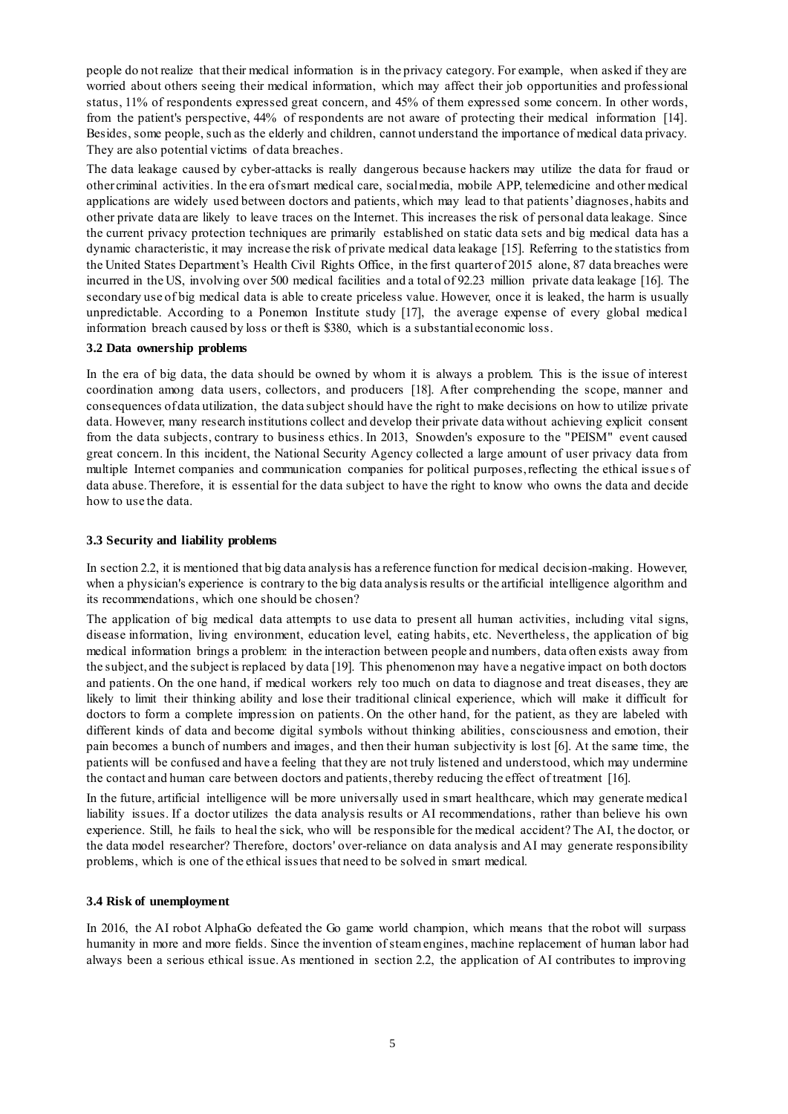people do not realize that their medical information is in the privacy category. For example, when asked if they are worried about others seeing their medical information, which may affect their job opportunities and professional status, 11% of respondents expressed great concern, and 45% of them expressed some concern. In other words, from the patient's perspective, 44% of respondents are not aware of protecting their medical information [14]. Besides, some people, such as the elderly and children, cannot understand the importance of medical data privacy. They are also potential victims of data breaches.

The data leakage caused by cyber-attacks is really dangerous because hackers may utilize the data for fraud or other criminal activities. In the era of smart medical care, social media, mobile APP, telemedicine and other medical applications are widely used between doctors and patients, which may lead to that patients'diagnoses, habits and other private data are likely to leave traces on the Internet. This increases the risk of personal data leakage. Since the current privacy protection techniques are primarily established on static data sets and big medical data has a dynamic characteristic, it may increase the risk of private medical data leakage [15]. Referring to the statistics from the United States Department's Health Civil Rights Office, in the first quarter of 2015 alone, 87 data breaches were incurred in the US, involving over 500 medical facilities and a total of 92.23 million private data leakage [16]. The secondary use of big medical data is able to create priceless value. However, once it is leaked, the harm is usually unpredictable. According to a Ponemon Institute study [17], the average expense of every global medical information breach caused by loss or theft is \$380, which is a substantial economic loss.

#### **3.2 Data ownership problems**

In the era of big data, the data should be owned by whom it is always a problem. This is the issue of interest coordination among data users, collectors, and producers [18]. After comprehending the scope, manner and consequences of data utilization, the data subject should have the right to make decisions on how to utilize private data. However, many research institutions collect and develop their private data without achieving explicit consent from the data subjects, contrary to business ethics. In 2013, Snowden's exposure to the "PEISM" event caused great concern. In this incident, the National Security Agency collected a large amount of user privacy data from multiple Internet companies and communication companies for political purposes, reflecting the ethical issue s of data abuse. Therefore, it is essential for the data subject to have the right to know who owns the data and decide how to use the data.

#### **3.3 Security and liability problems**

In section 2.2, it is mentioned that big data analysis has a reference function for medical decision-making. However, when a physician's experience is contrary to the big data analysis results or the artificial intelligence algorithm and its recommendations, which one should be chosen?

The application of big medical data attempts to use data to present all human activities, including vital signs, disease information, living environment, education level, eating habits, etc. Nevertheless, the application of big medical information brings a problem: in the interaction between people and numbers, data often exists away from the subject, and the subject is replaced by data [19]. This phenomenon may have a negative impact on both doctors and patients. On the one hand, if medical workers rely too much on data to diagnose and treat diseases, they are likely to limit their thinking ability and lose their traditional clinical experience, which will make it difficult for doctors to form a complete impression on patients. On the other hand, for the patient, as they are labeled with different kinds of data and become digital symbols without thinking abilities, consciousness and emotion, their pain becomes a bunch of numbers and images, and then their human subjectivity is lost [6]. At the same time, the patients will be confused and have a feeling that they are not truly listened and understood, which may undermine the contact and human care between doctors and patients, thereby reducing the effect of treatment [16].

In the future, artificial intelligence will be more universally used in smart healthcare, which may generate medical liability issues. If a doctor utilizes the data analysis results or AI recommendations, rather than believe his own experience. Still, he fails to heal the sick, who will be responsible for the medical accident? The AI, the doctor, or the data model researcher? Therefore, doctors' over-reliance on data analysis and AI may generate responsibility problems, which is one of the ethical issues that need to be solved in smart medical.

#### **3.4 Risk of unemployment**

In 2016, the AI robot AlphaGo defeated the Go game world champion, which means that the robot will surpass humanity in more and more fields. Since the invention of steam engines, machine replacement of human labor had always been a serious ethical issue. As mentioned in section 2.2, the application of AI contributes to improving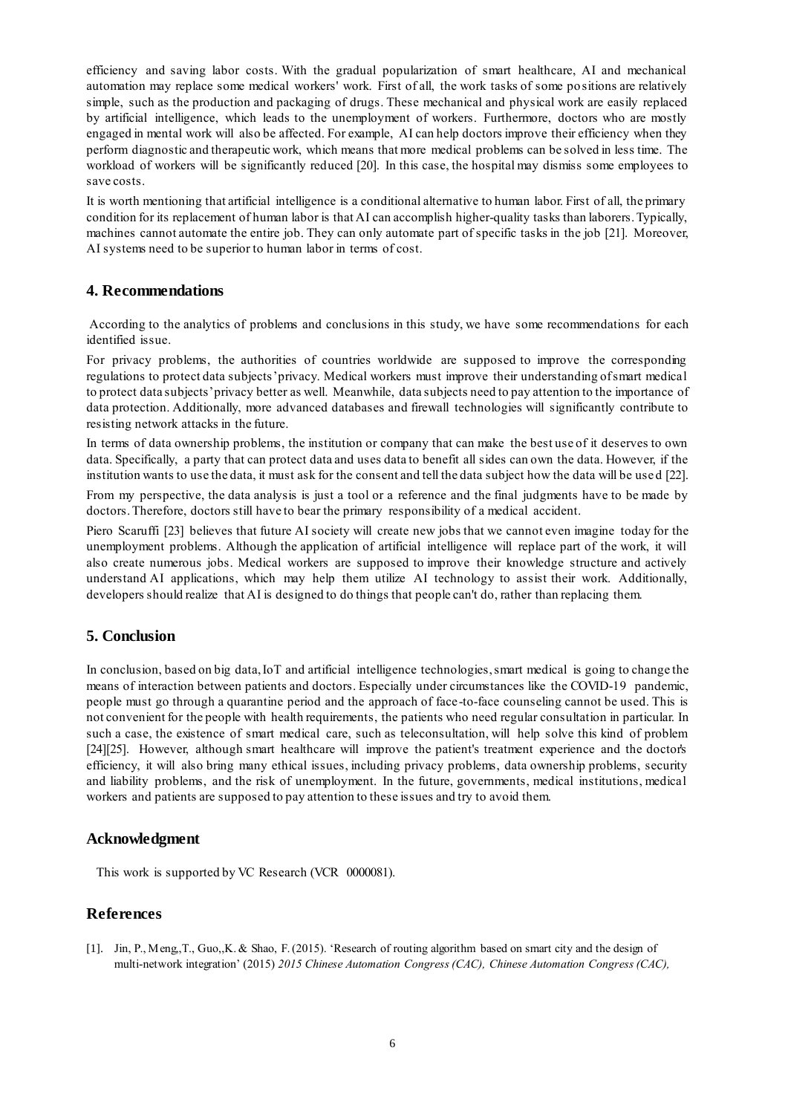efficiency and saving labor costs. With the gradual popularization of smart healthcare, AI and mechanical automation may replace some medical workers' work. First of all, the work tasks of some po sitions are relatively simple, such as the production and packaging of drugs. These mechanical and physical work are easily replaced by artificial intelligence, which leads to the unemployment of workers. Furthermore, doctors who are mostly engaged in mental work will also be affected. For example, AI can help doctors improve their efficiency when they perform diagnostic and therapeutic work, which means that more medical problems can be solved in less time. The workload of workers will be significantly reduced [20]. In this case, the hospital may dismiss some employees to save costs.

It is worth mentioning that artificial intelligence is a conditional alternative to human labor. First of all, the primary condition for its replacement of human labor is that AI can accomplish higher-quality tasks than laborers. Typically, machines cannot automate the entire job. They can only automate part of specific tasks in the job [21]. Moreover, AI systems need to be superior to human labor in terms of cost.

### **4. Recommendations**

According to the analytics of problems and conclusions in this study, we have some recommendations for each identified issue.

For privacy problems, the authorities of countries worldwide are supposed to improve the corresponding regulations to protect data subjects' privacy. Medical workers must improve their understanding of smart medical to protect data subjects' privacy better as well. Meanwhile, data subjects need to pay attention to the importance of data protection. Additionally, more advanced databases and firewall technologies will significantly contribute to resisting network attacks in the future.

In terms of data ownership problems, the institution or company that can make the best use of it deserves to own data. Specifically, a party that can protect data and uses data to benefit all sides can own the data. However, if the institution wants to use the data, it must ask for the consent and tell the data subject how the data will be use d [22].

From my perspective, the data analysis is just a tool or a reference and the final judgments have to be made by doctors. Therefore, doctors still have to bear the primary responsibility of a medical accident.

Piero Scaruffi [23] believes that future AI society will create new jobs that we cannot even imagine today for the unemployment problems. Although the application of artificial intelligence will replace part of the work, it will also create numerous jobs. Medical workers are supposed to improve their knowledge structure and actively understand AI applications, which may help them utilize AI technology to assist their work. Additionally, developers should realize that AI is designed to do things that people can't do, rather than replacing them.

# **5. Conclusion**

In conclusion, based on big data, IoT and artificial intelligence technologies, smart medical is going to change the means of interaction between patients and doctors. Especially under circumstances like the COVID-19 pandemic, people must go through a quarantine period and the approach of face-to-face counseling cannot be used. This is not convenient for the people with health requirements, the patients who need regular consultation in particular. In such a case, the existence of smart medical care, such as teleconsultation, will help solve this kind of problem [24][25]. However, although smart healthcare will improve the patient's treatment experience and the doctor's efficiency, it will also bring many ethical issues, including privacy problems, data ownership problems, security and liability problems, and the risk of unemployment. In the future, governments, medical institutions, medical workers and patients are supposed to pay attention to these issues and try to avoid them.

### **Acknowledgment**

This work is supported by VC Research (VCR 0000081).

### **References**

[1]. Jin, P., Meng,,T., Guo,,K. & Shao, F. (2015). 'Research of routing algorithm based on smart city and the design of multi-network integration' (2015) *2015 Chinese Automation Congress (CAC), Chinese Automation Congress (CAC),*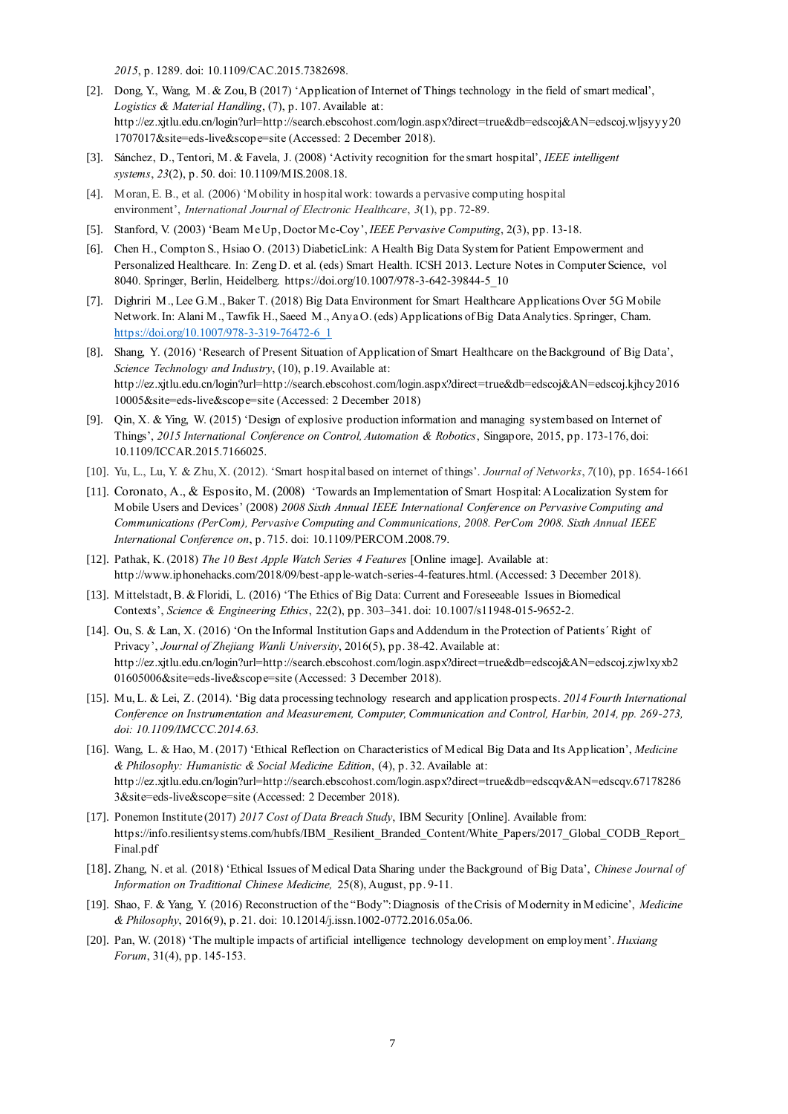*2015*, p. 1289. doi: 10.1109/CAC.2015.7382698.

- [2]. Dong, Y., Wang, M. & Zou, B (2017) 'Application of Internet of Things technology in the field of smart medical', *Logistics & Material Handling*, (7), p. 107. Available at: http://ez.xjtlu.edu.cn/login?url=http://search.ebscohost.com/login.aspx?direct=true&db=edscoj&AN=edscoj.wljsyyy20 1707017&site=eds-live&scope=site (Accessed: 2 December 2018).
- [3]. Sánchez, D., Tentori, M. & Favela, J. (2008) 'Activity recognition for the smart hospital', *IEEE intelligent systems*, *23*(2), p. 50. doi: 10.1109/MIS.2008.18.
- [4]. Moran, E. B., et al. (2006) 'Mobility in hospital work: towards a pervasive computing hospital environment', *International Journal of Electronic Healthcare*, *3*(1), pp. 72-89.
- [5]. Stanford, V. (2003) 'Beam Me Up, Doctor Mc-Coy', *IEEE Pervasive Computing*, 2(3), pp. 13-18.
- [6]. Chen H., Compton S., Hsiao O. (2013) DiabeticLink: A Health Big Data System for Patient Empowerment and Personalized Healthcare. In: Zeng D. et al. (eds) Smart Health. ICSH 2013. Lecture Notes in Computer Science, vol 8040. Springer, Berlin, Heidelberg. https://doi.org/10.1007/978-3-642-39844-5\_10
- [7]. Dighriri M., Lee G.M., Baker T. (2018) Big Data Environment for Smart Healthcare Applications Over 5G Mobile Network. In: Alani M., Tawfik H., Saeed M., Anya O. (eds) Applications of Big Data Analytics. Springer, Cham. [https://doi.org/10.1007/978-3-319-76472-6\\_1](https://doi.org/10.1007/978-3-319-76472-6_1)
- [8]. Shang, Y*.* (2016) 'Research of Present Situation of Application of Smart Healthcare on the Background of Big Data', *Science Technology and Industry*, (10), p.19. Available at: http://ez.xjtlu.edu.cn/login?url=http://search.ebscohost.com/login.aspx?direct=true&db=edscoj&AN=edscoj.kjhcy2016 10005&site=eds-live&scope=site (Accessed: 2 December 2018)
- [9]. Qin, X. & Ying, W. (2015) 'Design of explosive production information and managing system based on Internet of Things', *2015 International Conference on Control, Automation & Robotics*, Singapore, 2015, pp. 173-176, doi: 10.1109/ICCAR.2015.7166025.
- [10]. Yu, L., Lu, Y. & Zhu, X. (2012). 'Smart hospital based on internet of things'. *Journal of Networks*, *7*(10), pp. 1654-1661
- [11]. Coronato, A., & Esposito, M. (2008) 'Towards an Implementation of Smart Hospital: A Localization System for Mobile Users and Devices' (2008) *2008 Sixth Annual IEEE International Conference on Pervasive Computing and Communications (PerCom), Pervasive Computing and Communications, 2008. PerCom 2008. Sixth Annual IEEE International Conference on*, p. 715. doi: 10.1109/PERCOM.2008.79.
- [12]. Pathak, K. (2018) *The 10 Best Apple Watch Series 4 Features* [Online image]. Available at: http://www.iphonehacks.com/2018/09/best-apple-watch-series-4-features.html. (Accessed: 3 December 2018).
- [13]. Mittelstadt, B. & Floridi, L. (2016) 'The Ethics of Big Data: Current and Foreseeable Issues in Biomedical Contexts', *Science & Engineering Ethics*, 22(2), pp. 303–341. doi: 10.1007/s11948-015-9652-2.
- [14]. Ou, S. & Lan, X. (2016) 'On the Informal Institution Gaps and Addendum in the Protection of Patientsˊ Right of Privacy', *Journal of Zhejiang Wanli University*, 2016(5), pp. 38-42. Available at: http://ez.xjtlu.edu.cn/login?url=http://search.ebscohost.com/login.aspx?direct=true&db=edscoj&AN=edscoj.zjwlxyxb2 01605006&site=eds-live&scope=site (Accessed: 3 December 2018).
- [15]. Mu, L. & Lei, Z. (2014). 'Big data processing technology research and application prospects. *2014 Fourth International Conference on Instrumentation and Measurement, Computer, Communication and Control, Harbin, 2014, pp. 269-273, doi: 10.1109/IMCCC.2014.63.*
- [16]. Wang, L. & Hao, M. (2017) 'Ethical Reflection on Characteristics of Medical Big Data and Its Application', *Medicine & Philosophy: Humanistic & Social Medicine Edition*, (4), p. 32. Available at: http://ez.xjtlu.edu.cn/login?url=http://search.ebscohost.com/login.aspx?direct=true&db=edscqv&AN=edscqv.67178286 3&site=eds-live&scope=site (Accessed: 2 December 2018).
- [17]. Ponemon Institute (2017) *2017 Cost of Data Breach Study*, IBM Security [Online]. Available from: https://info.resilientsystems.com/hubfs/IBM\_Resilient\_Branded\_Content/White\_Papers/2017\_Global\_CODB\_Report\_ Final.pdf
- [18]. Zhang, N. et al. (2018) 'Ethical Issues of Medical Data Sharing under the Background of Big Data', *Chinese Journal of Information on Traditional Chinese Medicine,* 25(8), August, pp. 9-11.
- [19]. Shao, F. & Yang, Y. (2016) Reconstruction of the "Body": Diagnosis of the Crisis of Modernity in Medicine', *Medicine & Philosophy*, 2016(9), p. 21. doi: 10.12014/j.issn.1002-0772.2016.05a.06.
- [20]. Pan, W. (2018) 'The multiple impacts of artificial intelligence technology development on employment'. *Huxiang Forum*, 31(4), pp. 145-153.